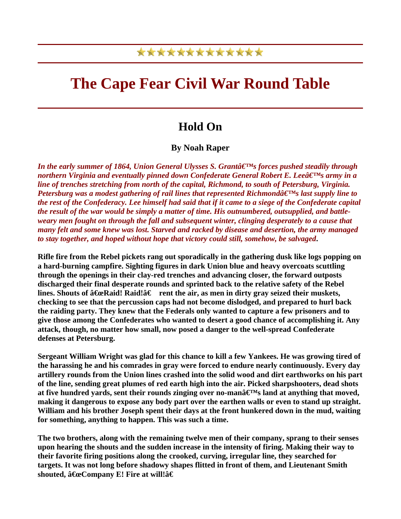## \*\*\*\*\*\*\*\*\*\*\*\*\*

## **The Cape Fear Civil War Round Table**

## **Hold On**

**By Noah Raper** 

*In the early summer of 1864, Union General Ulysses S. Grantâ*  $\epsilon$ <sup>IM</sup>s forces pushed steadily through *northern Virginia and eventually pinned down Confederate General Robert E. Leeâ* E<sup>rm</sup>s army in a *line of trenches stretching from north of the capital, Richmond, to south of Petersburg, Virginia. Petersburg was a modest gathering of rail lines that represented Richmonda* $\epsilon^{\text{TMs}}$  *last supply line to the rest of the Confederacy. Lee himself had said that if it came to a siege of the Confederate capital the result of the war would be simply a matter of time. His outnumbered, outsupplied, and battleweary men fought on through the fall and subsequent winter, clinging desperately to a cause that many felt and some knew was lost. Starved and racked by disease and desertion, the army managed to stay together, and hoped without hope that victory could still, somehow, be salvaged***.** 

**Rifle fire from the Rebel pickets rang out sporadically in the gathering dusk like logs popping on a hard-burning campfire. Sighting figures in dark Union blue and heavy overcoats scuttling through the openings in their clay-red trenches and advancing closer, the forward outposts discharged their final desperate rounds and sprinted back to the relative safety of the Rebel**  lines. Shouts of  $\hat{a}$  Ge Raid! Raid! $\hat{a} \in \text{rent the air}$ , as men in dirty gray seized their muskets, **checking to see that the percussion caps had not become dislodged, and prepared to hurl back the raiding party. They knew that the Federals only wanted to capture a few prisoners and to give those among the Confederates who wanted to desert a good chance of accomplishing it. Any attack, though, no matter how small, now posed a danger to the well-spread Confederate defenses at Petersburg.** 

**Sergeant William Wright was glad for this chance to kill a few Yankees. He was growing tired of the harassing he and his comrades in gray were forced to endure nearly continuously. Every day artillery rounds from the Union lines crashed into the solid wood and dirt earthworks on his part of the line, sending great plumes of red earth high into the air. Picked sharpshooters, dead shots**  at five hundred yards, sent their rounds zinging over no-man $\hat{\mathbf{a}} \in \mathbb{M}$ s land at anything that moved, **making it dangerous to expose any body part over the earthen walls or even to stand up straight. William and his brother Joseph spent their days at the front hunkered down in the mud, waiting for something, anything to happen. This was such a time.** 

**The two brothers, along with the remaining twelve men of their company, sprang to their senses upon hearing the shouts and the sudden increase in the intensity of firing. Making their way to their favorite firing positions along the crooked, curving, irregular line, they searched for targets. It was not long before shadowy shapes flitted in front of them, and Lieutenant Smith**  shouted,  $â€$ **eCompany E! Fire at will!**â€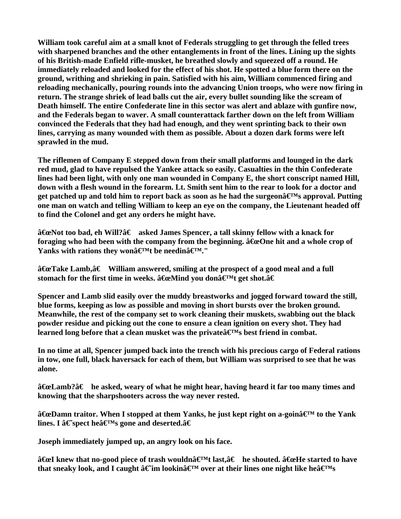**William took careful aim at a small knot of Federals struggling to get through the felled trees with sharpened branches and the other entanglements in front of the lines. Lining up the sights of his British-made Enfield rifle-musket, he breathed slowly and squeezed off a round. He immediately reloaded and looked for the effect of his shot. He spotted a blue form there on the ground, writhing and shrieking in pain. Satisfied with his aim, William commenced firing and reloading mechanically, pouring rounds into the advancing Union troops, who were now firing in return. The strange shriek of lead balls cut the air, every bullet sounding like the scream of Death himself. The entire Confederate line in this sector was alert and ablaze with gunfire now, and the Federals began to waver. A small counterattack farther down on the left from William convinced the Federals that they had had enough, and they went sprinting back to their own lines, carrying as many wounded with them as possible. About a dozen dark forms were left sprawled in the mud.** 

**The riflemen of Company E stepped down from their small platforms and lounged in the dark red mud, glad to have repulsed the Yankee attack so easily. Casualties in the thin Confederate lines had been light, with only one man wounded in Company E, the short conscript named Hill, down with a flesh wound in the forearm. Lt. Smith sent him to the rear to look for a doctor and**  get patched up and told him to report back as soon as he had the surgeon $\hat{a} \in M$ s approval. Putting **one man on watch and telling William to keep an eye on the company, the Lieutenant headed off to find the Colonel and get any orders he might have.** 

â<del>€</del> as Not too bad, eh Will?â € asked James Spencer, a tall skinny fellow with a knack for foraging who had been with the company from the beginning.  $\hat{a}$   $\hat{f}$   $\hat{f}$  and a whole crop of Yanks with rations they wona<sup> $\boldsymbol{\in}^M$ t be needina $\boldsymbol{\in}^M$ ."</sup>

â **G**e Take Lamb,â € William answered, smiling at the prospect of a good meal and a full stomach for the first time in weeks.  $\hat{a}$  ExeMind you don $\hat{a} \in M$ t get shot. $\hat{a} \in$ 

**Spencer and Lamb slid easily over the muddy breastworks and jogged forward toward the still, blue forms, keeping as low as possible and moving in short bursts over the broken ground. Meanwhile, the rest of the company set to work cleaning their muskets, swabbing out the black powder residue and picking out the cone to ensure a clean ignition on every shot. They had**  learned long before that a clean musket was the private  $\mathbf{\hat{H}}^{\mathbf{M}}$ s best friend in combat.

**In no time at all, Spencer jumped back into the trench with his precious cargo of Federal rations in tow, one full, black haversack for each of them, but William was surprised to see that he was alone.** 

â<del>€</del> Eamb?†he asked, weary of what he might hear, having heard it far too many times and **knowing that the sharpshooters across the way never rested.** 

â **€ cDamn traitor.** When I stopped at them Yanks, he just kept right on a-goinâ €<sup>M</sup> to the Yank lines. I  $\hat{\mathbf{a}} \in \text{spect}\ \text{height} \mathbf{S}$  gone and deserted. $\hat{\mathbf{a}} \in \mathbb{R}$ 

**Joseph immediately jumped up, an angry look on his face.** 

â<del>€</del> knew that no-good piece of trash wouldnâ <sup>eM</sup>t last,â € he shouted. â **G** eHe started to have that sneaky look, and I caught  $\hat{\mathbf{a}} \in \mathbb{N}$  lookin $\hat{\mathbf{a}} \in \mathbb{N}$  over at their lines one night like he $\hat{\mathbf{a}} \in \mathbb{N}$ s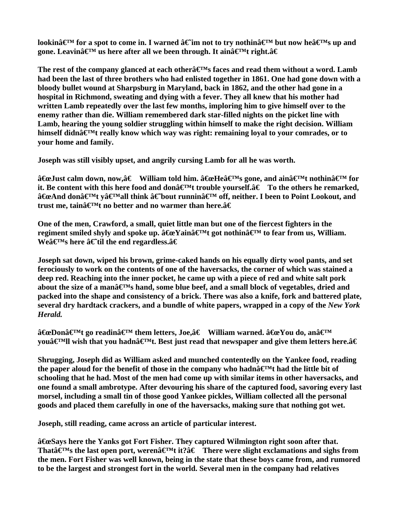lookin $\hat{\mathbf{a}} \in \mathbb{M}$  for a spot to come in. I warned  $\hat{\mathbf{a}} \in \mathbb{M}$  not to try nothin $\hat{\mathbf{a}} \in \mathbb{M}$  but now hea $\hat{\mathbf{a}} \in \mathbb{M}$ s up and gone. Leavina<sup> $\boldsymbol{\epsilon}$ M us here after all we been through. It aina $\boldsymbol{\epsilon}$ Mt right.a $\boldsymbol{\epsilon}$ </sup>

The rest of the company glanced at each other $\hat{\mathbf{a}} \in \mathbb{R}^M$  faces and read them without a word. Lamb **had been the last of three brothers who had enlisted together in 1861. One had gone down with a bloody bullet wound at Sharpsburg in Maryland, back in 1862, and the other had gone in a hospital in Richmond, sweating and dying with a fever. They all knew that his mother had written Lamb repeatedly over the last few months, imploring him to give himself over to the enemy rather than die. William remembered dark star-filled nights on the picket line with Lamb, hearing the young soldier struggling within himself to make the right decision. William**  himself didnâ€<sup>M</sup>t really know which way was right: remaining loyal to your comrades, or to **your home and family.** 

**Joseph was still visibly upset, and angrily cursing Lamb for all he was worth.** 

â<del>C</del>eJust calm down, now,†William told him. âGeHeâ€<sup>M</sup>s gone, and ainâ€<sup>M</sup>t nothinâ€<sup>M</sup> for it. Be content with this here food and don $\hat{a} \in \mathbb{N}$ t trouble yourself. $\hat{a} \in \mathbb{T}$ o the others he remarked, â€eAnd donâ€<sup>M</sup>t vâ€<sup>M</sup>all think â€bout runninâ€<sup>M</sup> off, neither. I been to Point Lookout, and trust me, tain $\hat{a} \in \mathbb{N}$ t no better and no warmer than here. $\hat{a} \in \mathbb{N}$ 

**One of the men, Crawford, a small, quiet little man but one of the fiercest fighters in the**  regiment smiled shyly and spoke up. â <del>€</del> eYainâ <del>€</del><sup>M</sup>t got nothinâ <del>€</del><sup>M</sup> to fear from us, William. **We** $\hat{\mathbf{a}} \in \mathbb{N}$  here  $\hat{\mathbf{a}} \in \mathbb{N}$  til the end regardless. $\hat{\mathbf{a}} \in \mathbb{N}$ 

**Joseph sat down, wiped his brown, grime-caked hands on his equally dirty wool pants, and set ferociously to work on the contents of one of the haversacks, the corner of which was stained a deep red. Reaching into the inner pocket, he came up with a piece of red and white salt pork**  about the size of a man $\hat{\mathbf{a}} \in \mathbb{M}$ s hand, some blue beef, and a small block of vegetables, dried and **packed into the shape and consistency of a brick. There was also a knife, fork and battered plate, several dry hardtack crackers, and a bundle of white papers, wrapped in a copy of the** *New York Herald.*

 $\hat{a}$  $\widehat{\mathbf{E}}$  **and**  $\widehat{\mathbf{E}}$  **and**  $\widehat{\mathbf{E}}$  **and**  $\widehat{\mathbf{E}}$  **and**  $\widehat{\mathbf{E}}$  **and**  $\widehat{\mathbf{E}}$  **and**  $\widehat{\mathbf{E}}$  **and**  $\widehat{\mathbf{E}}$  **and**  $\widehat{\mathbf{E}}$  **and**  $\widehat{\mathbf{E}}$  **and**  $\widehat{\mathbf{E}}$  **and**  $\widehat{\mathbf{E}}$  **and**  $\widehat{\mathbf{E}}$  **and \widehat** you $\hat{\mathbf{z}}^{\text{M}}$ ll wish that you hadn $\hat{\mathbf{z}}^{\text{M}}$ t. Best just read that newspaper and give them letters here. $\hat{\mathbf{z}} \in \mathbb{R}$ 

**Shrugging, Joseph did as William asked and munched contentedly on the Yankee food, reading**  the paper aloud for the benefit of those in the company who hadn $\hat{\mathbf{a}} \in \mathbb{M}$  thad the little bit of **schooling that he had. Most of the men had come up with similar items in other haversacks, and one found a small ambrotype. After devouring his share of the captured food, savoring every last morsel, including a small tin of those good Yankee pickles, William collected all the personal goods and placed them carefully in one of the haversacks, making sure that nothing got wet.** 

**Joseph, still reading, came across an article of particular interest.** 

 $\hat{a}$  GeSays here the Yanks got Fort Fisher. They captured Wilmington right soon after that. That $\hat{\mathbf{a}} \in \mathbb{R}^M$  the last open port, weren $\hat{\mathbf{a}} \in \mathbb{R}^M$ t it? $\hat{\mathbf{a}} \in \mathbb{R}^M$  There were slight exclamations and sighs from **the men. Fort Fisher was well known, being in the state that these boys came from, and rumored to be the largest and strongest fort in the world. Several men in the company had relatives**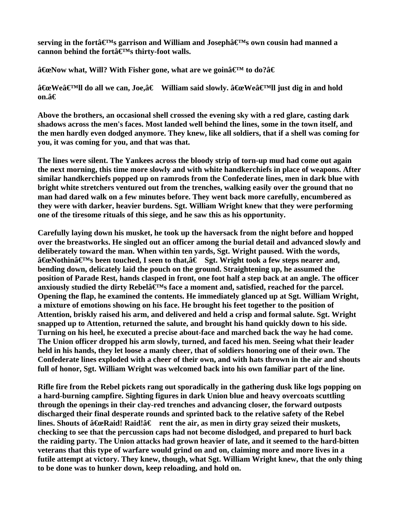serving in the forta  $\mathbf{F}^{\mathbf{M}}$ s garrison and William and Josepha $\mathbf{F}^{\mathbf{M}}$ s own cousin had manned a cannon behind the fortâ $\boldsymbol{\in}^{\text{M}}$ s thirty-foot walls.

 $\hat{a}$  **Example 20** at a **Willetter With Fisher gone, what are we goin** $\hat{a} \in \mathbb{R}^{M}$  **to do?** $\hat{a} \in \mathbb{R}$ 

â <del>C</del>u Weâ €<sup>M</sup>ll do all we can, Joe, â € William said slowly.  $\hat{a}$  Gu Weâ ∈<sup>M</sup>ll just dig in and hold on. $\hat{a} \in$ 

**Above the brothers, an occasional shell crossed the evening sky with a red glare, casting dark shadows across the men's faces. Most landed well behind the lines, some in the town itself, and the men hardly even dodged anymore. They knew, like all soldiers, that if a shell was coming for you, it was coming for you, and that was that.** 

**The lines were silent. The Yankees across the bloody strip of torn-up mud had come out again the next morning, this time more slowly and with white handkerchiefs in place of weapons. After similar handkerchiefs popped up on ramrods from the Confederate lines, men in dark blue with bright white stretchers ventured out from the trenches, walking easily over the ground that no man had dared walk on a few minutes before. They went back more carefully, encumbered as they were with darker, heavier burdens. Sgt. William Wright knew that they were performing one of the tiresome rituals of this siege, and he saw this as his opportunity.** 

**Carefully laying down his musket, he took up the haversack from the night before and hopped over the breastworks. He singled out an officer among the burial detail and advanced slowly and deliberately toward the man. When within ten yards, Sgt. Wright paused. With the words,**  â <del>C</del>ue Nothinâ <del>C</del><sup>M</sup>s been touched, I seen to that, â € Sgt. Wright took a few steps nearer and, **bending down, delicately laid the pouch on the ground. Straightening up, he assumed the position of Parade Rest, hands clasped in front, one foot half a step back at an angle. The officer**  anxiously studied the dirty Rebel $\hat{\mathbf{a}} \in \mathbb{R}^M$ s face a moment and, satisfied, reached for the parcel. **Opening the flap, he examined the contents. He immediately glanced up at Sgt. William Wright, a mixture of emotions showing on his face. He brought his feet together to the position of Attention, briskly raised his arm, and delivered and held a crisp and formal salute. Sgt. Wright snapped up to Attention, returned the salute, and brought his hand quickly down to his side. Turning on his heel, he executed a precise about-face and marched back the way he had come. The Union officer dropped his arm slowly, turned, and faced his men. Seeing what their leader held in his hands, they let loose a manly cheer, that of soldiers honoring one of their own. The Confederate lines exploded with a cheer of their own, and with hats thrown in the air and shouts full of honor, Sgt. William Wright was welcomed back into his own familiar part of the line.** 

**Rifle fire from the Rebel pickets rang out sporadically in the gathering dusk like logs popping on a hard-burning campfire. Sighting figures in dark Union blue and heavy overcoats scuttling through the openings in their clay-red trenches and advancing closer, the forward outposts discharged their final desperate rounds and sprinted back to the relative safety of the Rebel**  lines. Shouts of  $\hat{a} \in \mathbb{R}$  Raid! $\hat{a} \in \mathbb{R}$  rent the air, as men in dirty gray seized their muskets, **checking to see that the percussion caps had not become dislodged, and prepared to hurl back the raiding party. The Union attacks had grown heavier of late, and it seemed to the hard-bitten veterans that this type of warfare would grind on and on, claiming more and more lives in a futile attempt at victory. They knew, though, what Sgt. William Wright knew, that the only thing to be done was to hunker down, keep reloading, and hold on.**